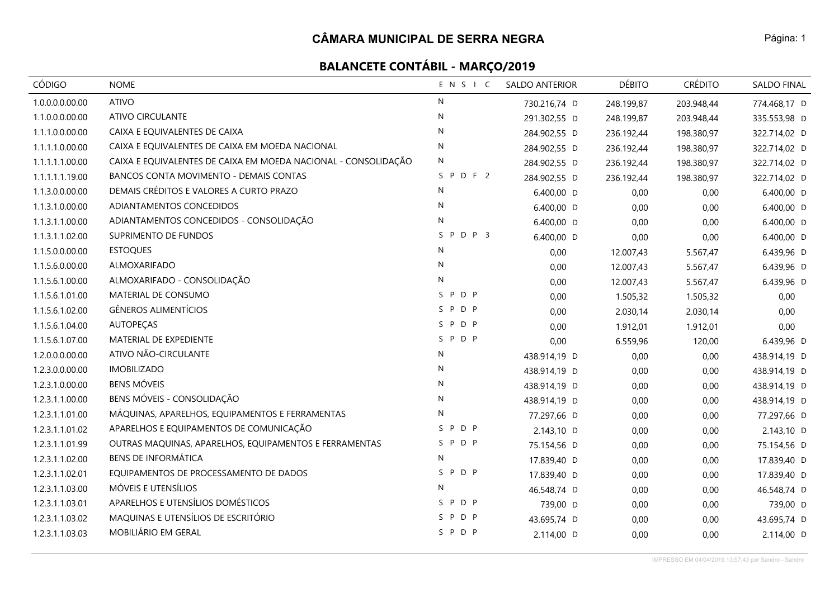| CÓDIGO          | <b>NOME</b>                                                    | ENSIC        | <b>SALDO ANTERIOR</b> | <b>DÉBITO</b> | <b>CRÉDITO</b> | SALDO FINAL  |
|-----------------|----------------------------------------------------------------|--------------|-----------------------|---------------|----------------|--------------|
| 1.0.0.0.0.00.00 | <b>ATIVO</b>                                                   | N            | 730.216,74 D          | 248.199,87    | 203.948,44     | 774.468,17 D |
| 1.1.0.0.0.00.00 | <b>ATIVO CIRCULANTE</b>                                        | N            | 291.302,55 D          | 248.199,87    | 203.948,44     | 335.553,98 D |
| 1.1.1.0.0.00.00 | CAIXA E EQUIVALENTES DE CAIXA                                  | $\mathsf{N}$ | 284.902,55 D          | 236.192,44    | 198.380,97     | 322.714,02 D |
| 1.1.1.1.0.00.00 | CAIXA E EQUIVALENTES DE CAIXA EM MOEDA NACIONAL                | $\mathsf{N}$ | 284.902,55 D          | 236.192,44    | 198.380,97     | 322.714,02 D |
| 1.1.1.1.1.00.00 | CAIXA E EQUIVALENTES DE CAIXA EM MOEDA NACIONAL - CONSOLIDAÇÃO | $\mathsf{N}$ | 284.902,55 D          | 236.192,44    | 198.380,97     | 322.714,02 D |
| 1.1.1.1.1.19.00 | BANCOS CONTA MOVIMENTO - DEMAIS CONTAS                         | SPDF2        | 284.902,55 D          | 236.192,44    | 198.380,97     | 322.714,02 D |
| 1.1.3.0.0.00.00 | DEMAIS CRÉDITOS E VALORES A CURTO PRAZO                        | N            | 6.400,00 D            | 0,00          | 0,00           | 6.400,00 D   |
| 1.1.3.1.0.00.00 | ADIANTAMENTOS CONCEDIDOS                                       | N            | 6.400,00 D            | 0,00          | 0,00           | 6.400,00 D   |
| 1.1.3.1.1.00.00 | ADIANTAMENTOS CONCEDIDOS - CONSOLIDAÇÃO                        | N            | 6.400,00 D            | 0,00          | 0,00           | 6.400,00 D   |
| 1.1.3.1.1.02.00 | SUPRIMENTO DE FUNDOS                                           | $S$ P D P 3  | 6.400,00 D            | 0,00          | 0,00           | 6.400,00 D   |
| 1.1.5.0.0.00.00 | <b>ESTOQUES</b>                                                | N            | 0,00                  | 12.007,43     | 5.567,47       | 6.439,96 D   |
| 1.1.5.6.0.00.00 | ALMOXARIFADO                                                   | N            | 0,00                  | 12.007,43     | 5.567,47       | 6.439,96 D   |
| 1.1.5.6.1.00.00 | ALMOXARIFADO - CONSOLIDAÇÃO                                    | N            | 0,00                  | 12.007,43     | 5.567,47       | 6.439,96 D   |
| 1.1.5.6.1.01.00 | MATERIAL DE CONSUMO                                            | SPDP         | 0,00                  | 1.505,32      | 1.505,32       | 0,00         |
| 1.1.5.6.1.02.00 | <b>GÊNEROS ALIMENTÍCIOS</b>                                    | SPDP         | 0,00                  | 2.030,14      | 2.030,14       | 0,00         |
| 1.1.5.6.1.04.00 | <b>AUTOPEÇAS</b>                                               | SPDP         | 0,00                  | 1.912,01      | 1.912,01       | 0,00         |
| 1.1.5.6.1.07.00 | MATERIAL DE EXPEDIENTE                                         | SPDP         | 0,00                  | 6.559,96      | 120,00         | 6.439,96 D   |
| 1.2.0.0.0.00.00 | ATIVO NÃO-CIRCULANTE                                           | N            | 438.914,19 D          | 0,00          | 0,00           | 438.914,19 D |
| 1.2.3.0.0.00.00 | <b>IMOBILIZADO</b>                                             | N            | 438.914,19 D          | 0,00          | 0,00           | 438.914,19 D |
| 1.2.3.1.0.00.00 | <b>BENS MÓVEIS</b>                                             | N            | 438.914,19 D          | 0,00          | 0,00           | 438.914,19 D |
| 1.2.3.1.1.00.00 | BENS MÓVEIS - CONSOLIDAÇÃO                                     | N            | 438.914,19 D          | 0,00          | 0,00           | 438.914,19 D |
| 1.2.3.1.1.01.00 | MÁQUINAS, APARELHOS, EQUIPAMENTOS E FERRAMENTAS                | N            | 77.297,66 D           | 0,00          | 0,00           | 77.297,66 D  |
| 1.2.3.1.1.01.02 | APARELHOS E EQUIPAMENTOS DE COMUNICAÇÃO                        | SPDP         | 2.143,10 D            | 0,00          | 0,00           | 2.143,10 D   |
| 1.2.3.1.1.01.99 | OUTRAS MAQUINAS, APARELHOS, EQUIPAMENTOS E FERRAMENTAS         | SPDP         | 75.154,56 D           | 0,00          | 0,00           | 75.154,56 D  |
| 1.2.3.1.1.02.00 | <b>BENS DE INFORMÁTICA</b>                                     | N            | 17.839,40 D           | 0,00          | 0,00           | 17.839,40 D  |
| 1.2.3.1.1.02.01 | EQUIPAMENTOS DE PROCESSAMENTO DE DADOS                         | SPDP         | 17.839,40 D           | 0,00          | 0,00           | 17.839,40 D  |
| 1.2.3.1.1.03.00 | MÓVEIS E UTENSÍLIOS                                            | N            | 46.548,74 D           | 0,00          | 0,00           | 46.548,74 D  |
| 1.2.3.1.1.03.01 | APARELHOS E UTENSÍLIOS DOMÉSTICOS                              | SPDP         | 739,00 D              | 0,00          | 0,00           | 739,00 D     |
| 1.2.3.1.1.03.02 | MAQUINAS E UTENSÍLIOS DE ESCRITÓRIO                            | SPDP         | 43.695,74 D           | 0,00          | 0,00           | 43.695,74 D  |
| 1.2.3.1.1.03.03 | MOBILIÁRIO EM GERAL                                            | SPDP         | 2.114,00 D            | 0,00          | 0,00           | 2.114,00 D   |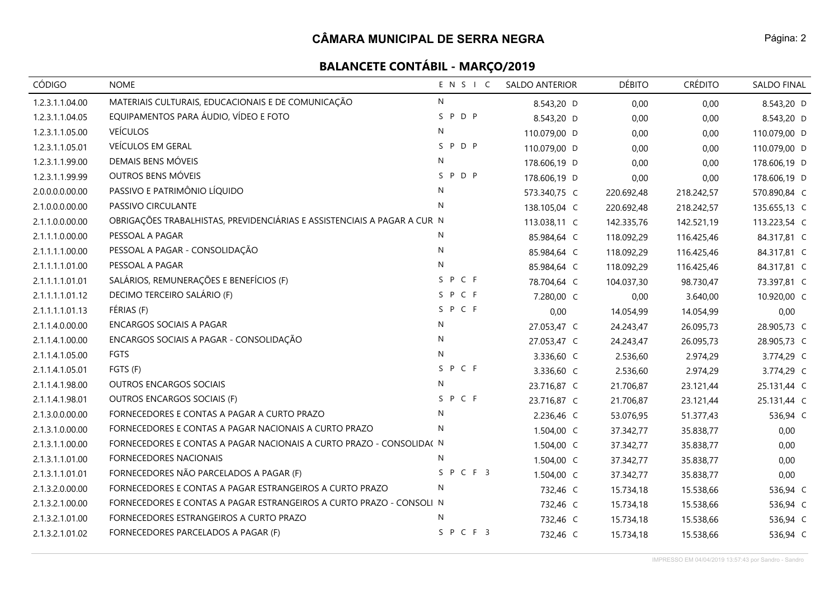| CÓDIGO          | <b>NOME</b>                                                              | ENSIC        | <b>SALDO ANTERIOR</b> | <b>DÉBITO</b> | <b>CRÉDITO</b> | SALDO FINAL  |
|-----------------|--------------------------------------------------------------------------|--------------|-----------------------|---------------|----------------|--------------|
| 1.2.3.1.1.04.00 | MATERIAIS CULTURAIS, EDUCACIONAIS E DE COMUNICAÇÃO                       | N            | 8.543,20 D            | 0,00          | 0,00           | 8.543,20 D   |
| 1.2.3.1.1.04.05 | EQUIPAMENTOS PARA ÁUDIO, VÍDEO E FOTO                                    | P D P<br>S.  | 8.543,20 D            | 0,00          | 0,00           | 8.543,20 D   |
| 1.2.3.1.1.05.00 | <b>VEÍCULOS</b>                                                          | N            | 110.079,00 D          | 0,00          | 0,00           | 110.079,00 D |
| 1.2.3.1.1.05.01 | VEÍCULOS EM GERAL                                                        | SPDP         | 110.079,00 D          | 0,00          | 0,00           | 110.079,00 D |
| 1.2.3.1.1.99.00 | DEMAIS BENS MÓVEIS                                                       | N            | 178.606,19 D          | 0,00          | 0,00           | 178.606,19 D |
| 1.2.3.1.1.99.99 | OUTROS BENS MÓVEIS                                                       | SPDP         | 178.606,19 D          | 0,00          | 0,00           | 178.606,19 D |
| 2.0.0.0.0.00.00 | PASSIVO E PATRIMÔNIO LÍQUIDO                                             | N            | 573.340,75 C          | 220.692,48    | 218.242,57     | 570.890,84 C |
| 2.1.0.0.0.00.00 | PASSIVO CIRCULANTE                                                       | $\mathsf{N}$ | 138.105,04 C          | 220.692,48    | 218.242,57     | 135.655,13 C |
| 2.1.1.0.0.00.00 | OBRIGAÇÕES TRABALHISTAS, PREVIDENCIÁRIAS E ASSISTENCIAIS A PAGAR A CUR N |              | 113.038,11 C          | 142.335,76    | 142.521,19     | 113.223,54 C |
| 2.1.1.1.0.00.00 | PESSOAL A PAGAR                                                          | N            | 85.984,64 C           | 118.092,29    | 116.425,46     | 84.317,81 C  |
| 2.1.1.1.1.00.00 | PESSOAL A PAGAR - CONSOLIDAÇÃO                                           | ${\sf N}$    | 85.984,64 C           | 118.092,29    | 116.425,46     | 84.317,81 C  |
| 2.1.1.1.1.01.00 | PESSOAL A PAGAR                                                          | N            | 85.984,64 C           | 118.092,29    | 116.425,46     | 84.317,81 C  |
| 2.1.1.1.1.01.01 | SALÁRIOS, REMUNERAÇÕES E BENEFÍCIOS (F)                                  | SPCF         | 78.704,64 C           | 104.037,30    | 98.730,47      | 73.397,81 C  |
| 2.1.1.1.1.01.12 | DECIMO TERCEIRO SALÁRIO (F)                                              | SPCF         | 7.280,00 C            | 0,00          | 3.640,00       | 10.920,00 C  |
| 2.1.1.1.1.01.13 | FÉRIAS (F)                                                               | SPCF         | 0,00                  | 14.054,99     | 14.054,99      | 0,00         |
| 2.1.1.4.0.00.00 | <b>ENCARGOS SOCIAIS A PAGAR</b>                                          | N            | 27.053,47 C           | 24.243,47     | 26.095,73      | 28.905,73 C  |
| 2.1.1.4.1.00.00 | ENCARGOS SOCIAIS A PAGAR - CONSOLIDAÇÃO                                  | N            | 27.053,47 C           | 24.243,47     | 26.095,73      | 28.905,73 C  |
| 2.1.1.4.1.05.00 | FGTS                                                                     | N            | 3.336,60 C            | 2.536,60      | 2.974,29       | 3.774,29 C   |
| 2.1.1.4.1.05.01 | FGTS (F)                                                                 | SPCF         | 3.336,60 C            | 2.536,60      | 2.974,29       | 3.774,29 C   |
| 2.1.1.4.1.98.00 | <b>OUTROS ENCARGOS SOCIAIS</b>                                           | $\mathsf{N}$ | 23.716,87 C           | 21.706,87     | 23.121,44      | 25.131,44 C  |
| 2.1.1.4.1.98.01 | OUTROS ENCARGOS SOCIAIS (F)                                              | SPCF         | 23.716,87 C           | 21.706,87     | 23.121,44      | 25.131,44 C  |
| 2.1.3.0.0.00.00 | FORNECEDORES E CONTAS A PAGAR A CURTO PRAZO                              | N            | 2.236,46 C            | 53.076,95     | 51.377,43      | 536,94 C     |
| 2.1.3.1.0.00.00 | FORNECEDORES E CONTAS A PAGAR NACIONAIS A CURTO PRAZO                    | N            | 1.504,00 C            | 37.342,77     | 35.838,77      | 0,00         |
| 2.1.3.1.1.00.00 | FORNECEDORES E CONTAS A PAGAR NACIONAIS A CURTO PRAZO - CONSOLIDA( N     |              | 1.504,00 C            | 37.342,77     | 35.838,77      | 0,00         |
| 2.1.3.1.1.01.00 | FORNECEDORES NACIONAIS                                                   | $\mathsf{N}$ | 1.504,00 C            | 37.342,77     | 35.838,77      | 0,00         |
| 2.1.3.1.1.01.01 | FORNECEDORES NÃO PARCELADOS A PAGAR (F)                                  | SPCF3        | 1.504,00 C            | 37.342,77     | 35.838,77      | 0,00         |
| 2.1.3.2.0.00.00 | FORNECEDORES E CONTAS A PAGAR ESTRANGEIROS A CURTO PRAZO                 | N            | 732,46 C              | 15.734,18     | 15.538,66      | 536,94 C     |
| 2.1.3.2.1.00.00 | FORNECEDORES E CONTAS A PAGAR ESTRANGEIROS A CURTO PRAZO - CONSOLI N     |              | 732,46 C              | 15.734,18     | 15.538,66      | 536,94 C     |
| 2.1.3.2.1.01.00 | FORNECEDORES ESTRANGEIROS A CURTO PRAZO                                  | N            | 732,46 C              | 15.734,18     | 15.538,66      | 536,94 C     |
| 2.1.3.2.1.01.02 | FORNECEDORES PARCELADOS A PAGAR (F)                                      | SPCF3        | 732,46 C              | 15.734,18     | 15.538,66      | 536,94 C     |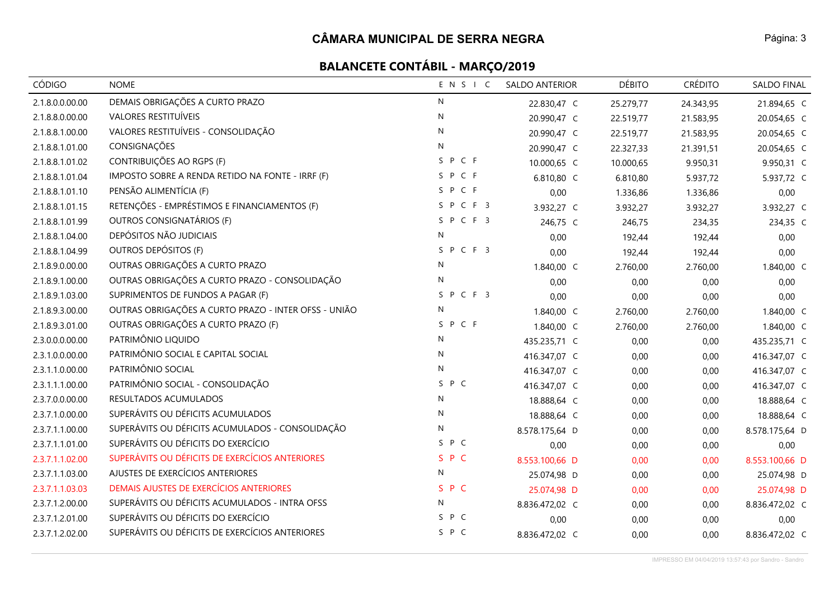| CÓDIGO          | <b>NOME</b>                                          | ENSIC        | <b>SALDO ANTERIOR</b> | <b>DÉBITO</b> | <b>CRÉDITO</b> | SALDO FINAL    |
|-----------------|------------------------------------------------------|--------------|-----------------------|---------------|----------------|----------------|
| 2.1.8.0.0.00.00 | DEMAIS OBRIGAÇÕES A CURTO PRAZO                      | $\mathsf{N}$ | 22.830,47 C           | 25.279,77     | 24.343,95      | 21.894,65 C    |
| 2.1.8.8.0.00.00 | VALORES RESTITUÍVEIS                                 | N            | 20.990,47 C           | 22.519,77     | 21.583,95      | 20.054,65 C    |
| 2.1.8.8.1.00.00 | VALORES RESTITUÍVEIS - CONSOLIDAÇÃO                  | N            | 20.990,47 C           | 22.519,77     | 21.583,95      | 20.054,65 C    |
| 2.1.8.8.1.01.00 | CONSIGNAÇÕES                                         | N            | 20.990,47 C           | 22.327,33     | 21.391,51      | 20.054,65 C    |
| 2.1.8.8.1.01.02 | CONTRIBUIÇÕES AO RGPS (F)                            | SPCF         | 10.000,65 C           | 10.000,65     | 9.950,31       | 9.950,31 C     |
| 2.1.8.8.1.01.04 | IMPOSTO SOBRE A RENDA RETIDO NA FONTE - IRRF (F)     | SPCF         | 6.810,80 C            | 6.810,80      | 5.937,72       | 5.937,72 C     |
| 2.1.8.8.1.01.10 | PENSÃO ALIMENTÍCIA (F)                               | SPCF         | 0,00                  | 1.336,86      | 1.336,86       | 0,00           |
| 2.1.8.8.1.01.15 | RETENÇÕES - EMPRÉSTIMOS E FINANCIAMENTOS (F)         | SPCF3        | 3.932,27 C            | 3.932,27      | 3.932,27       | 3.932,27 C     |
| 2.1.8.8.1.01.99 | OUTROS CONSIGNATÁRIOS (F)                            | SPCF3        | 246,75 C              | 246,75        | 234,35         | 234,35 C       |
| 2.1.8.8.1.04.00 | DEPÓSITOS NÃO JUDICIAIS                              | N            | 0,00                  | 192,44        | 192,44         | 0,00           |
| 2.1.8.8.1.04.99 | OUTROS DEPÓSITOS (F)                                 | SPCF3        | 0,00                  | 192,44        | 192,44         | 0,00           |
| 2.1.8.9.0.00.00 | OUTRAS OBRIGAÇÕES A CURTO PRAZO                      | N            | 1.840,00 C            | 2.760,00      | 2.760,00       | 1.840,00 C     |
| 2.1.8.9.1.00.00 | OUTRAS OBRIGAÇÕES A CURTO PRAZO - CONSOLIDAÇÃO       | N            | 0,00                  | 0,00          | 0,00           | 0,00           |
| 2.1.8.9.1.03.00 | SUPRIMENTOS DE FUNDOS A PAGAR (F)                    | SPCF3        | 0,00                  | 0,00          | 0,00           | 0,00           |
| 2.1.8.9.3.00.00 | OUTRAS OBRIGAÇÕES A CURTO PRAZO - INTER OFSS - UNIÃO | N            | 1.840,00 C            | 2.760,00      | 2.760,00       | 1.840,00 C     |
| 2.1.8.9.3.01.00 | OUTRAS OBRIGAÇÕES A CURTO PRAZO (F)                  | SPCF         | 1.840,00 C            | 2.760,00      | 2.760,00       | 1.840,00 C     |
| 2.3.0.0.0.00.00 | PATRIMÔNIO LIQUIDO                                   | N            | 435.235,71 C          | 0,00          | 0,00           | 435.235,71 C   |
| 2.3.1.0.0.00.00 | PATRIMÔNIO SOCIAL E CAPITAL SOCIAL                   | N            | 416.347,07 C          | 0,00          | 0,00           | 416.347,07 C   |
| 2.3.1.1.0.00.00 | PATRIMÔNIO SOCIAL                                    | N            | 416.347,07 C          | 0,00          | 0,00           | 416.347,07 C   |
| 2.3.1.1.1.00.00 | PATRIMÔNIO SOCIAL - CONSOLIDAÇÃO                     | P C<br>S     | 416.347,07 C          | 0,00          | 0,00           | 416.347,07 C   |
| 2.3.7.0.0.00.00 | RESULTADOS ACUMULADOS                                | N            | 18.888,64 C           | 0,00          | 0,00           | 18.888,64 C    |
| 2.3.7.1.0.00.00 | SUPERÁVITS OU DÉFICITS ACUMULADOS                    | N            | 18.888,64 C           | 0,00          | 0,00           | 18.888,64 C    |
| 2.3.7.1.1.00.00 | SUPERÁVITS OU DÉFICITS ACUMULADOS - CONSOLIDAÇÃO     | N            | 8.578.175,64 D        | 0,00          | 0,00           | 8.578.175,64 D |
| 2.3.7.1.1.01.00 | SUPERÁVITS OU DÉFICITS DO EXERCÍCIO                  | S P C        | 0,00                  | 0,00          | 0,00           | 0,00           |
| 2.3.7.1.1.02.00 | SUPERÁVITS OU DÉFICITS DE EXERCÍCIOS ANTERIORES      | S P C        | 8.553.100,66 D        | 0,00          | 0,00           | 8.553.100,66 D |
| 2.3.7.1.1.03.00 | AJUSTES DE EXERCÍCIOS ANTERIORES                     | N            | 25.074,98 D           | 0,00          | 0,00           | 25.074,98 D    |
| 2.3.7.1.1.03.03 | DEMAIS AJUSTES DE EXERCÍCIOS ANTERIORES              | S P C        | 25.074,98 D           | 0,00          | 0,00           | 25.074,98 D    |
| 2.3.7.1.2.00.00 | SUPERÁVITS OU DÉFICITS ACUMULADOS - INTRA OFSS       | N            | 8.836.472,02 C        | 0,00          | 0,00           | 8.836.472,02 C |
| 2.3.7.1.2.01.00 | SUPERÁVITS OU DÉFICITS DO EXERCÍCIO                  | S P C        | 0,00                  | 0,00          | 0,00           | 0,00           |
| 2.3.7.1.2.02.00 | SUPERÁVITS OU DÉFICITS DE EXERCÍCIOS ANTERIORES      | S P C        | 8.836.472,02 C        | 0,00          | 0,00           | 8.836.472,02 C |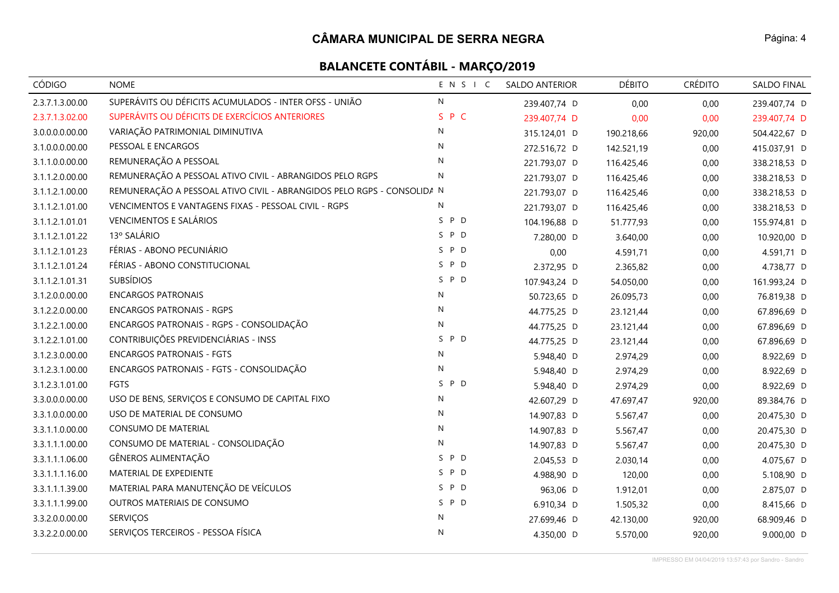| <b>CÓDIGO</b>   | <b>NOME</b>                                                            | ENSIC        | <b>SALDO ANTERIOR</b> | <b>DÉBITO</b> | <b>CRÉDITO</b> | SALDO FINAL  |
|-----------------|------------------------------------------------------------------------|--------------|-----------------------|---------------|----------------|--------------|
| 2.3.7.1.3.00.00 | SUPERÁVITS OU DÉFICITS ACUMULADOS - INTER OFSS - UNIÃO                 | ${\sf N}$    | 239.407,74 D          | 0,00          | 0,00           | 239.407,74 D |
| 2.3.7.1.3.02.00 | SUPERÁVITS OU DÉFICITS DE EXERCÍCIOS ANTERIORES                        | S P C        | 239.407,74 D          | 0,00          | 0,00           | 239.407,74 D |
| 3.0.0.0.0.00.00 | VARIAÇÃO PATRIMONIAL DIMINUTIVA                                        | N            | 315.124,01 D          | 190.218,66    | 920,00         | 504.422,67 D |
| 3.1.0.0.0.00.00 | PESSOAL E ENCARGOS                                                     | N            | 272.516,72 D          | 142.521,19    | 0,00           | 415.037,91 D |
| 3.1.1.0.0.00.00 | REMUNERAÇÃO A PESSOAL                                                  | N            | 221.793,07 D          | 116.425,46    | 0,00           | 338.218,53 D |
| 3.1.1.2.0.00.00 | REMUNERAÇÃO A PESSOAL ATIVO CIVIL - ABRANGIDOS PELO RGPS               | N            | 221.793,07 D          | 116.425,46    | 0,00           | 338.218,53 D |
| 3.1.1.2.1.00.00 | REMUNERAÇÃO A PESSOAL ATIVO CIVIL - ABRANGIDOS PELO RGPS - CONSOLIDA N |              | 221.793,07 D          | 116.425,46    | 0,00           | 338.218,53 D |
| 3.1.1.2.1.01.00 | VENCIMENTOS E VANTAGENS FIXAS - PESSOAL CIVIL - RGPS                   | N            | 221.793,07 D          | 116.425,46    | 0,00           | 338.218,53 D |
| 3.1.1.2.1.01.01 | VENCIMENTOS E SALÁRIOS                                                 | S P D        | 104.196,88 D          | 51.777,93     | 0,00           | 155.974,81 D |
| 3.1.1.2.1.01.22 | 13º SALÁRIO                                                            | S P D        | 7.280,00 D            | 3.640,00      | 0,00           | 10.920,00 D  |
| 3.1.1.2.1.01.23 | FÉRIAS - ABONO PECUNIÁRIO                                              | S P D        | 0,00                  | 4.591,71      | 0,00           | 4.591,71 D   |
| 3.1.1.2.1.01.24 | FÉRIAS - ABONO CONSTITUCIONAL                                          | SPD          | 2.372,95 D            | 2.365,82      | 0,00           | 4.738,77 D   |
| 3.1.1.2.1.01.31 | <b>SUBSÍDIOS</b>                                                       | S P D        | 107.943,24 D          | 54.050,00     | 0,00           | 161.993,24 D |
| 3.1.2.0.0.00.00 | <b>ENCARGOS PATRONAIS</b>                                              | N            | 50.723,65 D           | 26.095,73     | 0,00           | 76.819,38 D  |
| 3.1.2.2.0.00.00 | <b>ENCARGOS PATRONAIS - RGPS</b>                                       | $\mathsf{N}$ | 44.775,25 D           | 23.121,44     | 0,00           | 67.896,69 D  |
| 3.1.2.2.1.00.00 | ENCARGOS PATRONAIS - RGPS - CONSOLIDAÇÃO                               | ${\sf N}$    | 44.775,25 D           | 23.121,44     | 0,00           | 67.896,69 D  |
| 3.1.2.2.1.01.00 | CONTRIBUIÇÕES PREVIDENCIÁRIAS - INSS                                   | S P D        | 44.775,25 D           | 23.121,44     | 0,00           | 67.896,69 D  |
| 3.1.2.3.0.00.00 | <b>ENCARGOS PATRONAIS - FGTS</b>                                       | N            | 5.948,40 D            | 2.974,29      | 0,00           | 8.922,69 D   |
| 3.1.2.3.1.00.00 | ENCARGOS PATRONAIS - FGTS - CONSOLIDAÇÃO                               | N            | 5.948,40 D            | 2.974,29      | 0,00           | 8.922,69 D   |
| 3.1.2.3.1.01.00 | FGTS                                                                   | P D<br>S     | 5.948,40 D            | 2.974,29      | 0,00           | 8.922,69 D   |
| 3.3.0.0.0.00.00 | USO DE BENS, SERVIÇOS E CONSUMO DE CAPITAL FIXO                        | ${\sf N}$    | 42.607,29 D           | 47.697,47     | 920,00         | 89.384,76 D  |
| 3.3.1.0.0.00.00 | USO DE MATERIAL DE CONSUMO                                             | N            | 14.907,83 D           | 5.567,47      | 0,00           | 20.475,30 D  |
| 3.3.1.1.0.00.00 | <b>CONSUMO DE MATERIAL</b>                                             | N            | 14.907,83 D           | 5.567,47      | 0,00           | 20.475,30 D  |
| 3.3.1.1.1.00.00 | CONSUMO DE MATERIAL - CONSOLIDAÇÃO                                     | N            | 14.907,83 D           | 5.567,47      | 0,00           | 20.475,30 D  |
| 3.3.1.1.1.06.00 | GÊNEROS ALIMENTAÇÃO                                                    | S.<br>P D    | 2.045,53 D            | 2.030,14      | 0,00           | 4.075,67 D   |
| 3.3.1.1.1.16.00 | MATERIAL DE EXPEDIENTE                                                 | S P D        | 4.988,90 D            | 120,00        | 0,00           | 5.108,90 D   |
| 3.3.1.1.1.39.00 | MATERIAL PARA MANUTENÇÃO DE VEÍCULOS                                   | S P D        | 963,06 D              | 1.912,01      | 0,00           | 2.875,07 D   |
| 3.3.1.1.1.99.00 | OUTROS MATERIAIS DE CONSUMO                                            | S P D        | 6.910,34 D            | 1.505,32      | 0,00           | 8.415,66 D   |
| 3.3.2.0.0.00.00 | SERVIÇOS                                                               | N            | 27.699,46 D           | 42.130,00     | 920,00         | 68.909,46 D  |
| 3.3.2.2.0.00.00 | SERVIÇOS TERCEIROS - PESSOA FÍSICA                                     | $\mathsf{N}$ | 4.350,00 D            | 5.570,00      | 920,00         | 9.000,00 D   |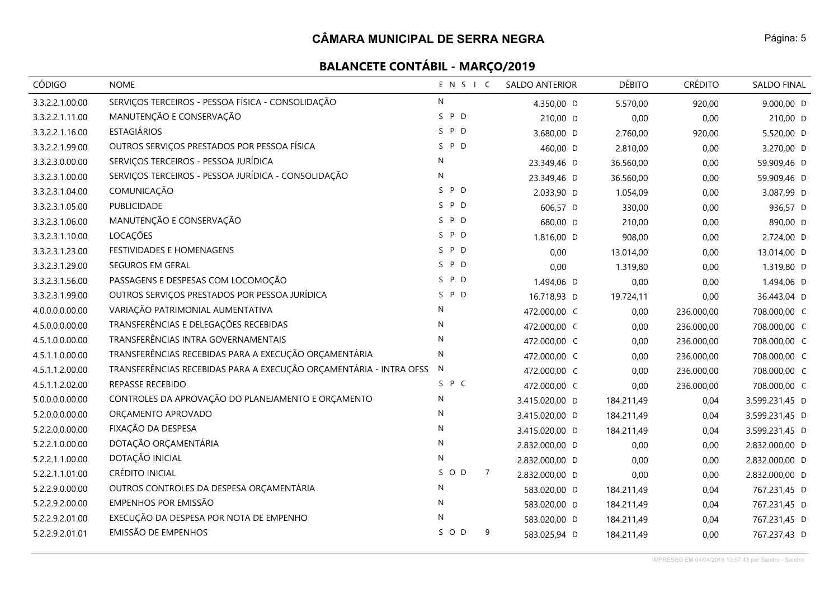| CÓDIGO          | <b>NOME</b>                                                        | ENSIC                 | <b>SALDO ANTERIOR</b> | <b>DÉBITO</b> | <b>CRÉDITO</b> | <b>SALDO FINAL</b> |
|-----------------|--------------------------------------------------------------------|-----------------------|-----------------------|---------------|----------------|--------------------|
| 3.3.2.2.1.00.00 | SERVIÇOS TERCEIROS - PESSOA FÍSICA - CONSOLIDAÇÃO                  | $\mathsf{N}$          | 4.350,00 D            | 5.570,00      | 920,00         | 9.000,00 D         |
| 3.3.2.2.1.11.00 | MANUTENÇÃO E CONSERVAÇÃO                                           | P D<br>S.             | 210,00 D              | 0,00          | 0,00           | 210,00 D           |
| 3.3.2.2.1.16.00 | <b>ESTAGIÁRIOS</b>                                                 | S P D                 | 3.680,00 D            | 2.760,00      | 920,00         | 5.520,00 D         |
| 3.3.2.2.1.99.00 | OUTROS SERVIÇOS PRESTADOS POR PESSOA FÍSICA                        | S P D                 | 460,00 D              | 2.810,00      | 0,00           | 3.270,00 D         |
| 3.3.2.3.0.00.00 | SERVIÇOS TERCEIROS - PESSOA JURÍDICA                               | N                     | 23.349,46 D           | 36.560,00     | 0,00           | 59.909,46 D        |
| 3.3.2.3.1.00.00 | SERVIÇOS TERCEIROS - PESSOA JURÍDICA - CONSOLIDAÇÃO                | N                     | 23.349,46 D           | 36.560,00     | 0,00           | 59.909,46 D        |
| 3.3.2.3.1.04.00 | COMUNICAÇÃO                                                        | P D<br>S.             | 2.033,90 D            | 1.054,09      | 0,00           | 3.087,99 D         |
| 3.3.2.3.1.05.00 | PUBLICIDADE                                                        | S P D                 | 606,57 D              | 330,00        | 0,00           | 936,57 D           |
| 3.3.2.3.1.06.00 | MANUTENÇÃO E CONSERVAÇÃO                                           | S P D                 | 680,00 D              | 210,00        | 0,00           | 890,00 D           |
| 3.3.2.3.1.10.00 | LOCAÇÕES                                                           | P D<br>S.             | 1.816,00 D            | 908,00        | 0,00           | 2.724,00 D         |
| 3.3.2.3.1.23.00 | FESTIVIDADES E HOMENAGENS                                          | S P D                 | 0,00                  | 13.014,00     | 0,00           | 13.014,00 D        |
| 3.3.2.3.1.29.00 | SEGUROS EM GERAL                                                   | S P D                 | 0,00                  | 1.319,80      | 0,00           | 1.319,80 D         |
| 3.3.2.3.1.56.00 | PASSAGENS E DESPESAS COM LOCOMOÇÃO                                 | P D<br>S.             | 1.494,06 D            | 0,00          | 0,00           | 1.494,06 D         |
| 3.3.2.3.1.99.00 | OUTROS SERVIÇOS PRESTADOS POR PESSOA JURÍDICA                      | S P D                 | 16.718,93 D           | 19.724,11     | 0,00           | 36.443,04 D        |
| 4.0.0.0.0.00.00 | VARIAÇÃO PATRIMONIAL AUMENTATIVA                                   | $\mathsf{N}$          | 472.000,00 C          | 0,00          | 236.000,00     | 708.000,00 C       |
| 4.5.0.0.0.00.00 | TRANSFERÊNCIAS E DELEGAÇÕES RECEBIDAS                              | N                     | 472.000,00 C          | 0,00          | 236.000,00     | 708.000,00 C       |
| 4.5.1.0.0.00.00 | TRANSFERÊNCIAS INTRA GOVERNAMENTAIS                                | N                     | 472.000,00 C          | 0,00          | 236.000,00     | 708.000,00 C       |
| 4.5.1.1.0.00.00 | TRANSFERÊNCIAS RECEBIDAS PARA A EXECUÇÃO ORÇAMENTÁRIA              | $\mathsf{N}$          | 472.000,00 C          | 0,00          | 236.000,00     | 708.000,00 C       |
| 4.5.1.1.2.00.00 | TRANSFERÊNCIAS RECEBIDAS PARA A EXECUÇÃO ORÇAMENTÁRIA - INTRA OFSS | N                     | 472.000,00 C          | 0,00          | 236.000,00     | 708.000,00 C       |
| 4.5.1.1.2.02.00 | REPASSE RECEBIDO                                                   | S P C                 | 472.000,00 C          | 0,00          | 236.000,00     | 708.000,00 C       |
| 5.0.0.0.0.00.00 | CONTROLES DA APROVAÇÃO DO PLANEJAMENTO E ORÇAMENTO                 | $\mathsf{N}$          | 3.415.020,00 D        | 184.211,49    | 0,04           | 3.599.231,45 D     |
| 5.2.0.0.0.00.00 | ORÇAMENTO APROVADO                                                 | N                     | 3.415.020,00 D        | 184.211,49    | 0,04           | 3.599.231,45 D     |
| 5.2.2.0.0.00.00 | FIXAÇÃO DA DESPESA                                                 | N                     | 3.415.020,00 D        | 184.211,49    | 0,04           | 3.599.231,45 D     |
| 5.2.2.1.0.00.00 | DOTAÇÃO ORÇAMENTÁRIA                                               | $\mathsf{N}$          | 2.832.000,00 D        | 0,00          | 0,00           | 2.832.000,00 D     |
| 5.2.2.1.1.00.00 | DOTAÇÃO INICIAL                                                    | N                     | 2.832.000,00 D        | 0,00          | 0,00           | 2.832.000,00 D     |
| 5.2.2.1.1.01.00 | <b>CRÉDITO INICIAL</b>                                             | SOD<br>$\overline{7}$ | 2.832.000,00 D        | 0,00          | 0,00           | 2.832.000,00 D     |
| 5.2.2.9.0.00.00 | OUTROS CONTROLES DA DESPESA ORÇAMENTÁRIA                           | N                     | 583.020,00 D          | 184.211,49    | 0,04           | 767.231,45 D       |
| 5.2.2.9.2.00.00 | EMPENHOS POR EMISSÃO                                               | $\mathsf{N}$          | 583.020,00 D          | 184.211,49    | 0,04           | 767.231,45 D       |
| 5.2.2.9.2.01.00 | EXECUÇÃO DA DESPESA POR NOTA DE EMPENHO                            | N                     | 583.020,00 D          | 184.211,49    | 0,04           | 767.231,45 D       |
| 5.2.2.9.2.01.01 | <b>EMISSÃO DE EMPENHOS</b>                                         | S O D<br>9            | 583.025,94 D          | 184.211,49    | 0,00           | 767.237,43 D       |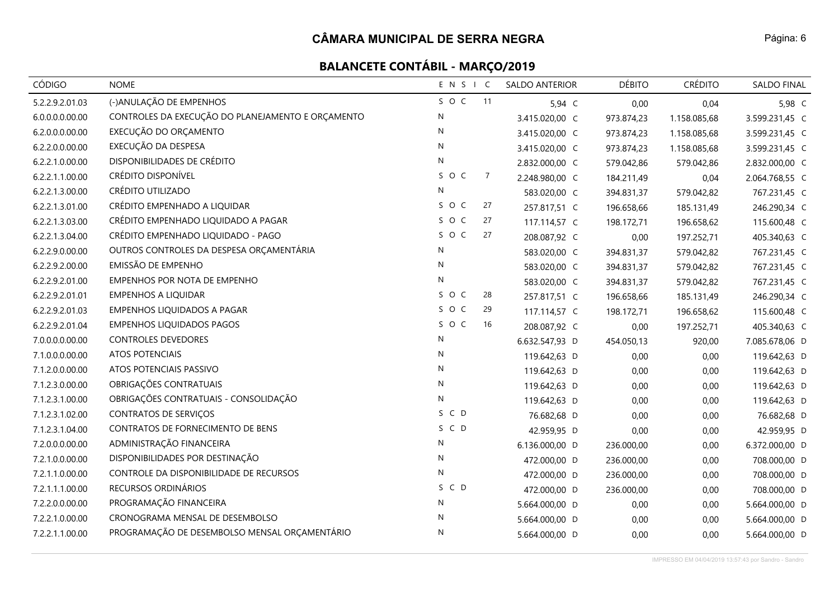| CÓDIGO          | <b>NOME</b>                                       | ENSIC        |                | <b>SALDO ANTERIOR</b> | <b>DÉBITO</b> | <b>CRÉDITO</b> | SALDO FINAL    |
|-----------------|---------------------------------------------------|--------------|----------------|-----------------------|---------------|----------------|----------------|
| 5.2.2.9.2.01.03 | (-)ANULAÇÃO DE EMPENHOS                           | SOC          | 11             | 5,94 C                | 0,00          | 0,04           | 5,98 C         |
| 6.0.0.0.0.00.00 | CONTROLES DA EXECUÇÃO DO PLANEJAMENTO E ORÇAMENTO | $\mathsf{N}$ |                | 3.415.020,00 C        | 973.874,23    | 1.158.085,68   | 3.599.231,45 C |
| 6.2.0.0.0.00.00 | EXECUÇÃO DO ORÇAMENTO                             | N            |                | 3.415.020,00 C        | 973.874,23    | 1.158.085,68   | 3.599.231,45 C |
| 6.2.2.0.0.00.00 | EXECUÇÃO DA DESPESA                               | $\mathsf{N}$ |                | 3.415.020,00 C        | 973.874,23    | 1.158.085,68   | 3.599.231,45 C |
| 6.2.2.1.0.00.00 | DISPONIBILIDADES DE CRÉDITO                       | N            |                | 2.832.000,00 C        | 579.042,86    | 579.042,86     | 2.832.000,00 C |
| 6.2.2.1.1.00.00 | CRÉDITO DISPONÍVEL                                | SOC          | $\overline{7}$ | 2.248.980,00 C        | 184.211,49    | 0,04           | 2.064.768,55 C |
| 6.2.2.1.3.00.00 | CRÉDITO UTILIZADO                                 | ${\sf N}$    |                | 583.020,00 C          | 394.831,37    | 579.042,82     | 767.231,45 C   |
| 6.2.2.1.3.01.00 | CRÉDITO EMPENHADO A LIQUIDAR                      | SOC          | 27             | 257.817,51 C          | 196.658,66    | 185.131,49     | 246.290,34 C   |
| 6.2.2.1.3.03.00 | CRÉDITO EMPENHADO LIQUIDADO A PAGAR               | S O C        | 27             | 117.114,57 C          | 198.172,71    | 196.658,62     | 115.600,48 C   |
| 6.2.2.1.3.04.00 | CRÉDITO EMPENHADO LIQUIDADO - PAGO                | SOC          | 27             | 208.087,92 C          | 0,00          | 197.252,71     | 405.340,63 C   |
| 6.2.2.9.0.00.00 | OUTROS CONTROLES DA DESPESA ORÇAMENTÁRIA          | $\mathsf{N}$ |                | 583.020,00 C          | 394.831,37    | 579.042,82     | 767.231,45 C   |
| 6.2.2.9.2.00.00 | EMISSÃO DE EMPENHO                                | N            |                | 583.020,00 C          | 394.831,37    | 579.042,82     | 767.231,45 C   |
| 6.2.2.9.2.01.00 | EMPENHOS POR NOTA DE EMPENHO                      | N            |                | 583.020,00 C          | 394.831,37    | 579.042,82     | 767.231,45 C   |
| 6.2.2.9.2.01.01 | <b>EMPENHOS A LIQUIDAR</b>                        | SOC          | 28             | 257.817,51 C          | 196.658,66    | 185.131,49     | 246.290,34 C   |
| 6.2.2.9.2.01.03 | <b>EMPENHOS LIQUIDADOS A PAGAR</b>                | S O C        | 29             | 117.114,57 C          | 198.172,71    | 196.658,62     | 115.600,48 C   |
| 6.2.2.9.2.01.04 | <b>EMPENHOS LIQUIDADOS PAGOS</b>                  | SOC          | 16             | 208.087,92 C          | 0,00          | 197.252,71     | 405.340,63 C   |
| 7.0.0.0.0.00.00 | CONTROLES DEVEDORES                               | N            |                | 6.632.547,93 D        | 454.050,13    | 920,00         | 7.085.678,06 D |
| 7.1.0.0.0.00.00 | <b>ATOS POTENCIAIS</b>                            | $\mathsf{N}$ |                | 119.642,63 D          | 0,00          | 0,00           | 119.642,63 D   |
| 7.1.2.0.0.00.00 | ATOS POTENCIAIS PASSIVO                           | N            |                | 119.642,63 D          | 0,00          | 0,00           | 119.642,63 D   |
| 7.1.2.3.0.00.00 | OBRIGAÇÕES CONTRATUAIS                            | ${\sf N}$    |                | 119.642,63 D          | 0,00          | 0,00           | 119.642,63 D   |
| 7.1.2.3.1.00.00 | OBRIGAÇÕES CONTRATUAIS - CONSOLIDAÇÃO             | $\mathsf{N}$ |                | 119.642,63 D          | 0,00          | 0,00           | 119.642,63 D   |
| 7.1.2.3.1.02.00 | <b>CONTRATOS DE SERVIÇOS</b>                      | S C D        |                | 76.682,68 D           | 0,00          | 0,00           | 76.682,68 D    |
| 7.1.2.3.1.04.00 | CONTRATOS DE FORNECIMENTO DE BENS                 | S C D        |                | 42.959,95 D           | 0,00          | 0,00           | 42.959,95 D    |
| 7.2.0.0.0.00.00 | ADMINISTRAÇÃO FINANCEIRA                          | N            |                | 6.136.000,00 D        | 236.000,00    | 0,00           | 6.372.000,00 D |
| 7.2.1.0.0.00.00 | DISPONIBILIDADES POR DESTINAÇÃO                   | ${\sf N}$    |                | 472.000,00 D          | 236.000,00    | 0,00           | 708.000,00 D   |
| 7.2.1.1.0.00.00 | CONTROLE DA DISPONIBILIDADE DE RECURSOS           | ${\sf N}$    |                | 472.000,00 D          | 236.000,00    | 0,00           | 708.000,00 D   |
| 7.2.1.1.1.00.00 | RECURSOS ORDINÁRIOS                               | S C D        |                | 472.000,00 D          | 236.000,00    | 0,00           | 708.000,00 D   |
| 7.2.2.0.0.00.00 | PROGRAMAÇÃO FINANCEIRA                            | N            |                | 5.664.000,00 D        | 0,00          | 0,00           | 5.664.000,00 D |
| 7.2.2.1.0.00.00 | CRONOGRAMA MENSAL DE DESEMBOLSO                   | N            |                | 5.664.000,00 D        | 0,00          | 0,00           | 5.664.000,00 D |
| 7.2.2.1.1.00.00 | PROGRAMAÇÃO DE DESEMBOLSO MENSAL ORÇAMENTÁRIO     | $\mathsf{N}$ |                | 5.664.000,00 D        | 0,00          | 0,00           | 5.664.000,00 D |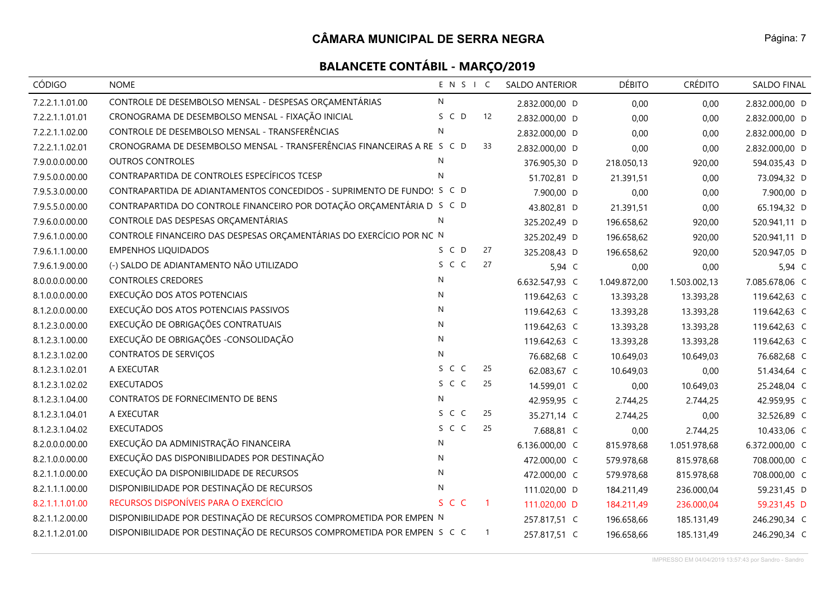| CÓDIGO          | <b>NOME</b>                                                             | ENSIC |              | <b>SALDO ANTERIOR</b> | <b>DÉBITO</b> | <b>CRÉDITO</b> | <b>SALDO FINAL</b> |
|-----------------|-------------------------------------------------------------------------|-------|--------------|-----------------------|---------------|----------------|--------------------|
| 7.2.2.1.1.01.00 | CONTROLE DE DESEMBOLSO MENSAL - DESPESAS ORÇAMENTÁRIAS                  | N     |              | 2.832.000,00 D        | 0,00          | 0,00           | 2.832.000,00 D     |
| 7.2.2.1.1.01.01 | CRONOGRAMA DE DESEMBOLSO MENSAL - FIXAÇÃO INICIAL                       | S C D | 12           | 2.832.000,00 D        | 0,00          | 0,00           | 2.832.000,00 D     |
| 7.2.2.1.1.02.00 | CONTROLE DE DESEMBOLSO MENSAL - TRANSFERÊNCIAS                          | N     |              | 2.832.000,00 D        | 0,00          | 0,00           | 2.832.000,00 D     |
| 7.2.2.1.1.02.01 | CRONOGRAMA DE DESEMBOLSO MENSAL - TRANSFERÊNCIAS FINANCEIRAS A RE S C D |       | 33           | 2.832.000,00 D        | 0,00          | 0,00           | 2.832.000,00 D     |
| 7.9.0.0.0.00.00 | <b>OUTROS CONTROLES</b>                                                 | N     |              | 376.905,30 D          | 218.050,13    | 920,00         | 594.035,43 D       |
| 7.9.5.0.0.00.00 | CONTRAPARTIDA DE CONTROLES ESPECÍFICOS TCESP                            | N     |              | 51.702,81 D           | 21.391,51     | 0,00           | 73.094,32 D        |
| 7.9.5.3.0.00.00 | CONTRAPARTIDA DE ADIANTAMENTOS CONCEDIDOS - SUPRIMENTO DE FUNDO! S C D  |       |              | 7.900,00 D            | 0,00          | 0,00           | 7.900,00 D         |
| 7.9.5.5.0.00.00 | CONTRAPARTIDA DO CONTROLE FINANCEIRO POR DOTAÇÃO ORÇAMENTÁRIA D S C D   |       |              | 43.802,81 D           | 21.391,51     | 0,00           | 65.194,32 D        |
| 7.9.6.0.0.00.00 | CONTROLE DAS DESPESAS ORÇAMENTÁRIAS                                     | N     |              | 325.202,49 D          | 196.658,62    | 920,00         | 520.941,11 D       |
| 7.9.6.1.0.00.00 | CONTROLE FINANCEIRO DAS DESPESAS ORÇAMENTÁRIAS DO EXERCÍCIO POR NC N    |       |              | 325.202,49 D          | 196.658,62    | 920,00         | 520.941,11 D       |
| 7.9.6.1.1.00.00 | <b>EMPENHOS LIQUIDADOS</b>                                              | S C D | 27           | 325.208,43 D          | 196.658,62    | 920,00         | 520.947,05 D       |
| 7.9.6.1.9.00.00 | (-) SALDO DE ADIANTAMENTO NÃO UTILIZADO                                 | S C C | 27           | 5,94 C                | 0,00          | 0,00           | 5,94 C             |
| 8.0.0.0.0.00.00 | <b>CONTROLES CREDORES</b>                                               | N     |              | 6.632.547,93 C        | 1.049.872,00  | 1.503.002,13   | 7.085.678,06 C     |
| 8.1.0.0.0.00.00 | EXECUÇÃO DOS ATOS POTENCIAIS                                            | N     |              | 119.642,63 C          | 13.393,28     | 13.393,28      | 119.642,63 C       |
| 8.1.2.0.0.00.00 | EXECUÇÃO DOS ATOS POTENCIAIS PASSIVOS                                   | N     |              | 119.642,63 C          | 13.393,28     | 13.393,28      | 119.642,63 C       |
| 8.1.2.3.0.00.00 | EXECUÇÃO DE OBRIGAÇÕES CONTRATUAIS                                      | N     |              | 119.642,63 C          | 13.393,28     | 13.393,28      | 119.642,63 C       |
| 8.1.2.3.1.00.00 | EXECUÇÃO DE OBRIGAÇÕES - CONSOLIDAÇÃO                                   | N     |              | 119.642,63 C          | 13.393,28     | 13.393,28      | 119.642,63 C       |
| 8.1.2.3.1.02.00 | CONTRATOS DE SERVIÇOS                                                   | N     |              | 76.682,68 C           | 10.649,03     | 10.649,03      | 76.682,68 C        |
| 8.1.2.3.1.02.01 | A EXECUTAR                                                              | S C C | 25           | 62.083,67 C           | 10.649,03     | 0,00           | 51.434,64 C        |
| 8.1.2.3.1.02.02 | <b>EXECUTADOS</b>                                                       | S C C | 25           | 14.599,01 C           | 0,00          | 10.649,03      | 25.248,04 C        |
| 8.1.2.3.1.04.00 | CONTRATOS DE FORNECIMENTO DE BENS                                       | N     |              | 42.959,95 C           | 2.744,25      | 2.744,25       | 42.959,95 C        |
| 8.1.2.3.1.04.01 | A EXECUTAR                                                              | S C C | 25           | 35.271,14 C           | 2.744,25      | 0,00           | 32.526,89 C        |
| 8.1.2.3.1.04.02 | <b>EXECUTADOS</b>                                                       | S C C | 25           | 7.688,81 C            | 0,00          | 2.744,25       | 10.433,06 C        |
| 8.2.0.0.0.00.00 | EXECUÇÃO DA ADMINISTRAÇÃO FINANCEIRA                                    | N     |              | 6.136.000,00 C        | 815.978,68    | 1.051.978,68   | 6.372.000,00 C     |
| 8.2.1.0.0.00.00 | EXECUÇÃO DAS DISPONIBILIDADES POR DESTINAÇÃO                            | N     |              | 472.000,00 C          | 579.978,68    | 815.978,68     | 708.000,00 C       |
| 8.2.1.1.0.00.00 | EXECUÇÃO DA DISPONIBILIDADE DE RECURSOS                                 | N     |              | 472.000,00 C          | 579.978,68    | 815.978,68     | 708.000,00 C       |
| 8.2.1.1.1.00.00 | DISPONIBILIDADE POR DESTINAÇÃO DE RECURSOS                              | N     |              | 111.020,00 D          | 184.211,49    | 236.000,04     | 59.231,45 D        |
| 8.2.1.1.1.01.00 | RECURSOS DISPONÍVEIS PARA O EXERCÍCIO                                   | S C C | $\mathbf{1}$ | 111.020,00 D          | 184.211,49    | 236.000,04     | 59.231,45 D        |
| 8.2.1.1.2.00.00 | DISPONIBILIDADE POR DESTINAÇÃO DE RECURSOS COMPROMETIDA POR EMPEN N     |       |              | 257.817,51 C          | 196.658,66    | 185.131,49     | 246.290,34 C       |
| 8.2.1.1.2.01.00 | DISPONIBILIDADE POR DESTINAÇÃO DE RECURSOS COMPROMETIDA POR EMPEN S C C |       | $\mathbf{1}$ | 257.817,51 C          | 196.658,66    | 185.131,49     | 246.290,34 C       |